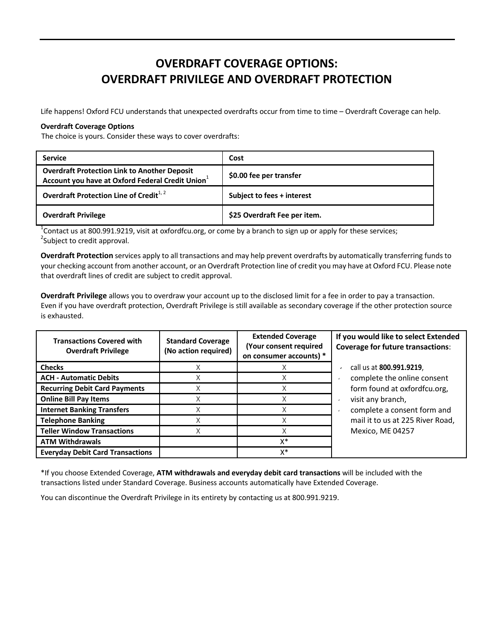## **OVERDRAFT COVERAGE OPTIONS: OVERDRAFT PRIVILEGE AND OVERDRAFT PROTECTION**

Life happens! Oxford FCU understands that unexpected overdrafts occur from time to time – Overdraft Coverage can help.

## **Overdraft Coverage Options**

The choice is yours. Consider these ways to cover overdrafts:

| <b>Service</b>                                                                                                      | Cost                         |
|---------------------------------------------------------------------------------------------------------------------|------------------------------|
| <b>Overdraft Protection Link to Another Deposit</b><br>Account you have at Oxford Federal Credit Union <sup>1</sup> | \$0.00 fee per transfer      |
| Overdraft Protection Line of Credit <sup>1,2</sup>                                                                  | Subject to fees + interest   |
| <b>Overdraft Privilege</b>                                                                                          | \$25 Overdraft Fee per item. |

<sup>1</sup>Contact us at 800.991.9219, visit at oxfordfcu.org, or come by a branch to sign up or apply for these services;<br><sup>2</sup>Subject to credit annroval <sup>2</sup>Subject to credit approval.

**Overdraft Protection** services apply to all transactions and may help prevent overdrafts by automatically transferring funds to your checking account from another account, or an Overdraft Protection line of credit you may have at Oxford FCU. Please note that overdraft lines of credit are subject to credit approval.

**Overdraft Privilege** allows you to overdraw your account up to the disclosed limit for a fee in order to pay a transaction. Even if you have overdraft protection, Overdraft Privilege is still available as secondary coverage if the other protection source is exhausted.

| <b>Transactions Covered with</b><br><b>Overdraft Privilege</b> | <b>Standard Coverage</b><br>(No action required) | <b>Extended Coverage</b><br>(Your consent required<br>on consumer accounts) * | If you would like to select Extended<br><b>Coverage for future transactions:</b> |
|----------------------------------------------------------------|--------------------------------------------------|-------------------------------------------------------------------------------|----------------------------------------------------------------------------------|
| <b>Checks</b>                                                  |                                                  |                                                                               | call us at 800.991.9219,                                                         |
| <b>ACH - Automatic Debits</b>                                  | ∧                                                |                                                                               | complete the online consent                                                      |
| <b>Recurring Debit Card Payments</b>                           | X                                                |                                                                               | form found at oxfordfcu.org,                                                     |
| <b>Online Bill Pay Items</b>                                   |                                                  |                                                                               | visit any branch,                                                                |
| <b>Internet Banking Transfers</b>                              |                                                  |                                                                               | complete a consent form and                                                      |
| <b>Telephone Banking</b>                                       |                                                  |                                                                               | mail it to us at 225 River Road,                                                 |
| <b>Teller Window Transactions</b>                              |                                                  |                                                                               | Mexico, ME 04257                                                                 |
| <b>ATM Withdrawals</b>                                         |                                                  | X*                                                                            |                                                                                  |
| <b>Everyday Debit Card Transactions</b>                        |                                                  | X*                                                                            |                                                                                  |

\*If you choose Extended Coverage, **ATM withdrawals and everyday debit card transactions** will be included with the transactions listed under Standard Coverage. Business accounts automatically have Extended Coverage.

You can discontinue the Overdraft Privilege in its entirety by contacting us at 800.991.9219.